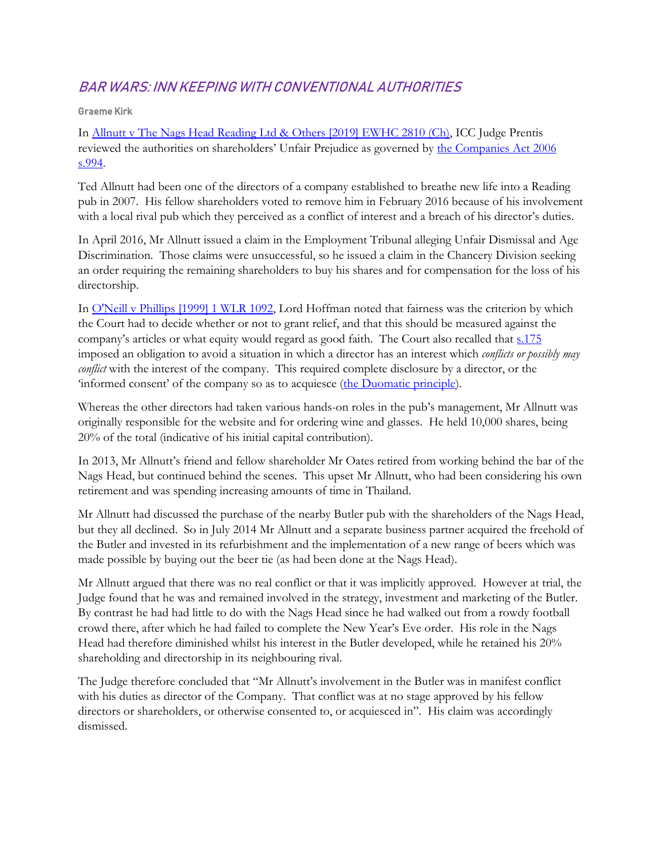## BAR WARS: INN KEEPING WITH CONVENTIONAL AUTHORITIES

### Graeme Kirk

In [Allnutt v The Nags Head Reading Ltd & Others \[2019\] EWHC 2810 \(Ch\),](https://www.bailii.org/ew/cases/EWHC/Ch/2019/2810.html) ICC Judge Prentis reviewed the authorities on shareholders' Unfair Prejudice as governed by [the Companies Act 2006](http://www.legislation.gov.uk/ukpga/2006/46/section/994)  [s.994.](http://www.legislation.gov.uk/ukpga/2006/46/section/994)

Ted Allnutt had been one of the directors of a company established to breathe new life into a Reading pub in 2007. His fellow shareholders voted to remove him in February 2016 because of his involvement with a local rival pub which they perceived as a conflict of interest and a breach of his director's duties.

In April 2016, Mr Allnutt issued a claim in the Employment Tribunal alleging Unfair Dismissal and Age Discrimination. Those claims were unsuccessful, so he issued a claim in the Chancery Division seeking an order requiring the remaining shareholders to buy his shares and for compensation for the loss of his directorship.

In [O'Neill v Phillips \[1999\] 1 WLR 1092,](https://www.bailii.org/uk/cases/UKHL/1999/24.html) Lord Hoffman noted that fairness was the criterion by which the Court had to decide whether or not to grant relief, and that this should be measured against the company's articles or what equity would regard as good faith. The Court also recalled that [s.175](file:///C:/Users/Victoria/AppData/Local/Microsoft/Windows/INetCache/Content.Outlook/B7E43XZI/s.175) imposed an obligation to avoid a situation in which a director has an interest which *conflicts or possibly may conflict* with the interest of the company. This required complete disclosure by a director, or the 'informed consent' of the company so as to acquiesce ([the Duomatic principle\)](https://en.wikipedia.org/wiki/Duomatic_principle).

Whereas the other directors had taken various hands-on roles in the pub's management, Mr Allnutt was originally responsible for the website and for ordering wine and glasses. He held 10,000 shares, being 20% of the total (indicative of his initial capital contribution).

In 2013, Mr Allnutt's friend and fellow shareholder Mr Oates retired from working behind the bar of the Nags Head, but continued behind the scenes. This upset Mr Allnutt, who had been considering his own retirement and was spending increasing amounts of time in Thailand.

Mr Allnutt had discussed the purchase of the nearby Butler pub with the shareholders of the Nags Head, but they all declined. So in July 2014 Mr Allnutt and a separate business partner acquired the freehold of the Butler and invested in its refurbishment and the implementation of a new range of beers which was made possible by buying out the beer tie (as had been done at the Nags Head).

Mr Allnutt argued that there was no real conflict or that it was implicitly approved. However at trial, the Judge found that he was and remained involved in the strategy, investment and marketing of the Butler. By contrast he had had little to do with the Nags Head since he had walked out from a rowdy football crowd there, after which he had failed to complete the New Year's Eve order. His role in the Nags Head had therefore diminished whilst his interest in the Butler developed, while he retained his 20% shareholding and directorship in its neighbouring rival.

The Judge therefore concluded that "Mr Allnutt's involvement in the Butler was in manifest conflict with his duties as director of the Company. That conflict was at no stage approved by his fellow directors or shareholders, or otherwise consented to, or acquiesced in". His claim was accordingly dismissed.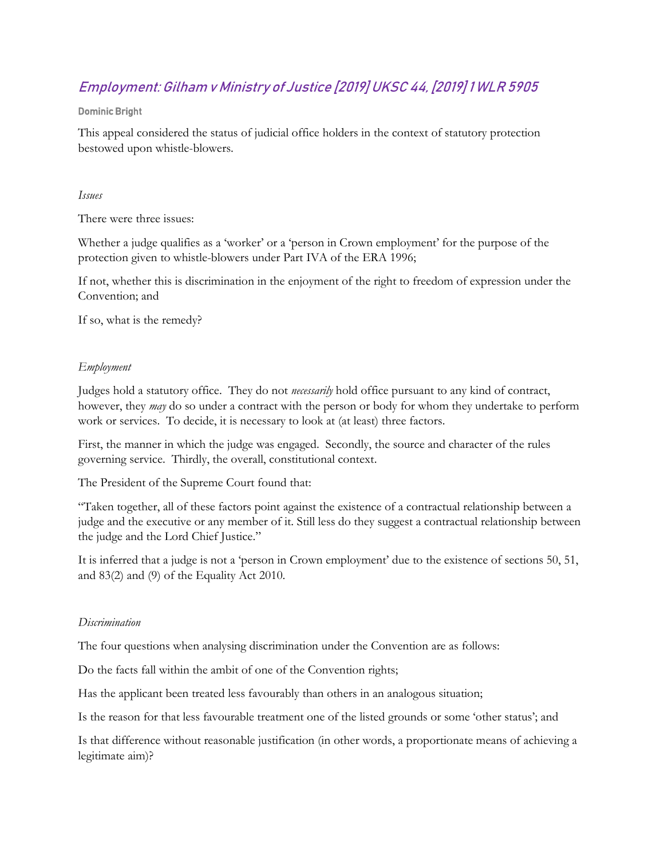# Employment: Gilham v Ministry of Justice [2019] UKSC 44, [2019] 1 WLR 5905

#### Dominic Bright

This appeal considered the status of judicial office holders in the context of statutory protection bestowed upon whistle-blowers.

#### *Issues*

There were three issues:

Whether a judge qualifies as a 'worker' or a 'person in Crown employment' for the purpose of the protection given to whistle-blowers under Part IVA of the ERA 1996;

If not, whether this is discrimination in the enjoyment of the right to freedom of expression under the Convention; and

If so, what is the remedy?

### *Employment*

Judges hold a statutory office. They do not *necessarily* hold office pursuant to any kind of contract, however, they *may* do so under a contract with the person or body for whom they undertake to perform work or services. To decide, it is necessary to look at (at least) three factors.

First, the manner in which the judge was engaged. Secondly, the source and character of the rules governing service. Thirdly, the overall, constitutional context.

The President of the Supreme Court found that:

"Taken together, all of these factors point against the existence of a contractual relationship between a judge and the executive or any member of it. Still less do they suggest a contractual relationship between the judge and the Lord Chief Justice."

It is inferred that a judge is not a 'person in Crown employment' due to the existence of sections 50, 51, and 83(2) and (9) of the Equality Act 2010.

#### *Discrimination*

The four questions when analysing discrimination under the Convention are as follows:

Do the facts fall within the ambit of one of the Convention rights;

Has the applicant been treated less favourably than others in an analogous situation;

Is the reason for that less favourable treatment one of the listed grounds or some 'other status'; and

Is that difference without reasonable justification (in other words, a proportionate means of achieving a legitimate aim)?